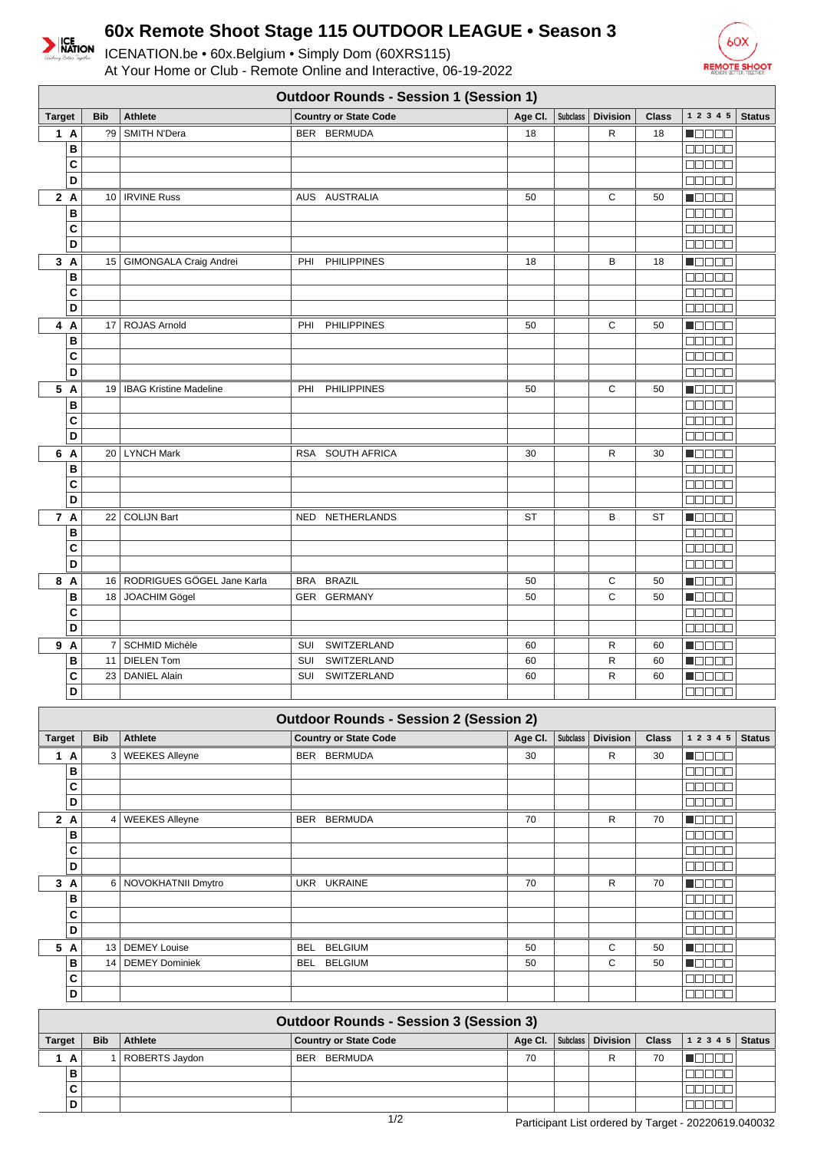

## **60x Remote Shoot Stage 115 OUTDOOR LEAGUE • Season 3**

ICENATION.be • 60x.Belgium • Simply Dom (60XRS115) At Your Home or Club - Remote Online and Interactive, 06-19-2022



|               | <b>Outdoor Rounds - Session 1 (Session 1)</b> |            |                               |                              |          |                 |                 |              |                                              |               |
|---------------|-----------------------------------------------|------------|-------------------------------|------------------------------|----------|-----------------|-----------------|--------------|----------------------------------------------|---------------|
| <b>Target</b> |                                               | <b>Bib</b> | <b>Athlete</b>                | <b>Country or State Code</b> | Age Cl.  | <b>Subclass</b> | <b>Division</b> | <b>Class</b> | 1 2 3 4 5                                    | <b>Status</b> |
|               | 1A                                            | ?9         | <b>SMITH N'Dera</b>           | BER BERMUDA                  | 18       |                 | R               | 18           | n de se                                      |               |
|               | B                                             |            |                               |                              |          |                 |                 |              | 80000                                        |               |
|               | C                                             |            |                               |                              |          |                 |                 |              | <b>REBER</b>                                 |               |
|               | D                                             |            |                               |                              |          |                 |                 |              | $\Box \Box \Box \Box \Box$                   |               |
|               | 2A                                            |            | 10   IRVINE Russ              | AUS AUSTRALIA                | 50       |                 | $\mathbf C$     | 50           | $\blacksquare$                               |               |
|               | B                                             |            |                               |                              |          |                 |                 |              | 00000                                        |               |
|               | C                                             |            |                               |                              |          |                 |                 |              | 00000                                        |               |
|               | $\overline{D}$                                |            |                               |                              |          |                 |                 |              | Maaaa                                        |               |
|               | 3A                                            |            | 15   GIMONGALA Craig Andrei   | <b>PHILIPPINES</b><br>PHI    | 18       |                 | B               | 18           | $\blacksquare$                               |               |
|               | B                                             |            |                               |                              |          |                 |                 |              | 88888                                        |               |
|               | $\overline{\mathbf{c}}$                       |            |                               |                              |          |                 |                 |              | 00000                                        |               |
|               | D                                             |            |                               |                              |          |                 |                 |              | 00000                                        |               |
|               | 4 A                                           | 17         | ROJAS Arnold                  | <b>PHILIPPINES</b><br>PHI    | 50       |                 | $\mathbf C$     | 50           | N SE SE                                      |               |
|               | B                                             |            |                               |                              |          |                 |                 |              | 80000                                        |               |
|               | C                                             |            |                               |                              |          |                 |                 |              | <b>BBBBB</b>                                 |               |
|               | D                                             |            |                               |                              |          |                 |                 |              | 88888                                        |               |
|               | 5 A                                           |            | 19   IBAG Kristine Madeline   | PHI<br><b>PHILIPPINES</b>    | 50       |                 | C               | 50           | n do e d                                     |               |
|               | B                                             |            |                               |                              |          |                 |                 |              | 88888                                        |               |
|               | C                                             |            |                               |                              |          |                 |                 |              | a a a a a                                    |               |
|               | D                                             |            |                               |                              |          |                 |                 |              | 00000                                        |               |
|               | 6 A                                           |            | 20   LYNCH Mark               | RSA SOUTH AFRICA             | 30       |                 | R               | 30           | HOOOO                                        |               |
|               | B                                             |            |                               |                              |          |                 |                 |              | 00000                                        |               |
|               | C                                             |            |                               |                              |          |                 |                 |              | 88888                                        |               |
|               | D                                             |            |                               |                              |          |                 |                 |              | Maaaa                                        |               |
|               | 7 A                                           |            | 22 COLIJN Bart                | NED NETHERLANDS              | ST       |                 | В               | <b>ST</b>    | Maaaa                                        |               |
|               | B<br>$\overline{\mathbf{c}}$                  |            |                               |                              |          |                 |                 |              | 00000                                        |               |
|               | $\overline{D}$                                |            |                               |                              |          |                 |                 |              | 00000<br>ooooo                               |               |
|               |                                               |            | 16 RODRIGUES GÖGEL Jane Karla | BRA BRAZIL                   |          |                 | $\mathsf C$     |              | N E E E E                                    |               |
|               | 8 A<br>B                                      |            | 18 JOACHIM Gögel              | GER GERMANY                  | 50<br>50 |                 | $\mathsf{C}$    | 50<br>50     | Maaaa                                        |               |
|               | C                                             |            |                               |                              |          |                 |                 |              | <b>BBBBB</b>                                 |               |
|               | D                                             |            |                               |                              |          |                 |                 |              | 00000                                        |               |
|               | 9 A                                           |            | 7 SCHMID Michèle              | SWITZERLAND<br>SUI           | 60       |                 | R               | 60           | $\blacksquare$                               |               |
|               | B                                             | 11         | <b>DIELEN Tom</b>             | SWITZERLAND<br>SUI           | 60       |                 | ${\sf R}$       | 60           | <b>Manas</b>                                 |               |
|               | C                                             | 23         | <b>DANIEL Alain</b>           | SWITZERLAND<br>SUI           | 60       |                 | ${\sf R}$       | 60           | $\blacksquare$ $\square$ $\square$ $\square$ |               |
|               | D                                             |            |                               |                              |          |                 |                 |              | 88888                                        |               |
|               |                                               |            |                               |                              |          |                 |                 |              |                                              |               |

|               | <b>Outdoor Rounds - Session 2 (Session 2)</b> |                |                       |                              |         |                 |                 |              |                                                             |               |
|---------------|-----------------------------------------------|----------------|-----------------------|------------------------------|---------|-----------------|-----------------|--------------|-------------------------------------------------------------|---------------|
| <b>Target</b> |                                               | <b>Bib</b>     | <b>Athlete</b>        | <b>Country or State Code</b> | Age Cl. | <b>Subclass</b> | <b>Division</b> | <b>Class</b> | 1 2 3 4 5                                                   | <b>Status</b> |
| $\mathbf{1}$  | A                                             | 3 <sup>1</sup> | <b>WEEKES Alleyne</b> | BER BERMUDA                  | 30      |                 | R               | 30           | <b>Manae</b>                                                |               |
|               | в                                             |                |                       |                              |         |                 |                 |              | 88888                                                       |               |
|               | С                                             |                |                       |                              |         |                 |                 |              | 00000                                                       |               |
|               | D                                             |                |                       |                              |         |                 |                 |              | 80000                                                       |               |
|               | 2A                                            |                | 4   WEEKES Alleyne    | <b>BER</b><br>BERMUDA        | 70      |                 | R               | 70           | Maaaa                                                       |               |
|               | в                                             |                |                       |                              |         |                 |                 |              | 00000                                                       |               |
|               | C                                             |                |                       |                              |         |                 |                 |              | <b>NODOD</b>                                                |               |
|               | D                                             |                |                       |                              |         |                 |                 |              | 88888                                                       |               |
| 3             | A                                             |                | 6 NOVOKHATNII Dmytro  | UKR UKRAINE                  | 70      |                 | R               | 70           | MODE 8                                                      |               |
|               | в                                             |                |                       |                              |         |                 |                 |              | $\blacksquare$ $\blacksquare$ $\blacksquare$ $\blacksquare$ |               |
|               | С                                             |                |                       |                              |         |                 |                 |              | an a a a                                                    |               |
|               | D                                             |                |                       |                              |         |                 |                 |              | an na n                                                     |               |
| 5             | A                                             | 13             | <b>DEMEY Louise</b>   | <b>BELGIUM</b><br><b>BEL</b> | 50      |                 | C               | 50           | na se                                                       |               |
|               | в                                             | 14             | DEMEY Dominiek        | <b>BELGIUM</b><br>BEL        | 50      |                 | C               | 50           | n e se                                                      |               |
|               | C                                             |                |                       |                              |         |                 |                 |              | aaaaa                                                       |               |
|               | D                                             |                |                       |                              |         |                 |                 |              | <b>NUBBO</b>                                                |               |
|               | Outdoor Pounde - Session 3 (Session 3)        |                |                       |                              |         |                 |                 |              |                                                             |               |

| <b>Outdoor Rounds - Session 3 (Session 3)</b> |                 |                |                              |    |  |                               |    |                                |  |  |
|-----------------------------------------------|-----------------|----------------|------------------------------|----|--|-------------------------------|----|--------------------------------|--|--|
| <b>Target</b>                                 | <b>Bib</b>      | Athlete        | <b>Country or State Code</b> |    |  | Age Cl.   Subclass   Division |    | Class $\vert$ 1 2 3 4 5 Status |  |  |
| A                                             |                 | ROBERTS Jaydon | BERMUDA<br><b>BER</b>        | 70 |  |                               | 70 |                                |  |  |
| в                                             |                 |                |                              |    |  |                               |    |                                |  |  |
|                                               |                 |                |                              |    |  |                               |    |                                |  |  |
| D                                             |                 |                |                              |    |  |                               |    |                                |  |  |
|                                               | $\overline{10}$ |                |                              |    |  |                               |    |                                |  |  |